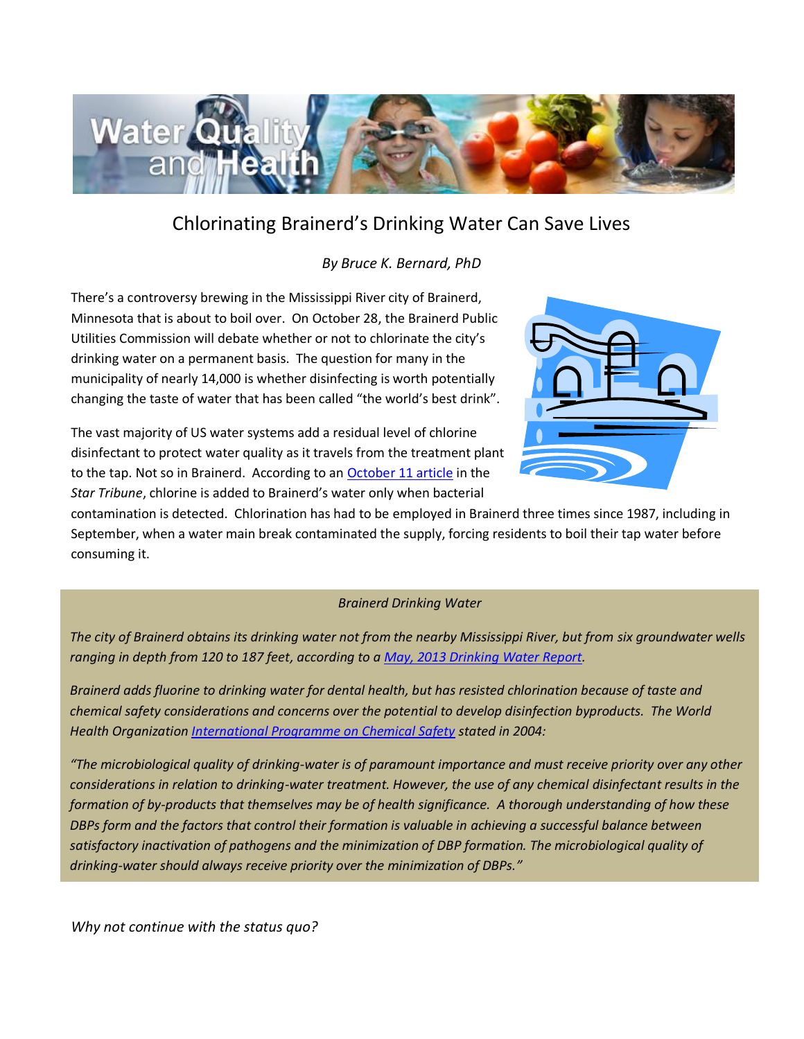

## Chlorinating Brainerd's Drinking Water Can Save Lives

*By Bruce K. Bernard, PhD*

There's a controversy brewing in the Mississippi River city of Brainerd, Minnesota that is about to boil over. On October 28, the Brainerd Public Utilities Commission will debate whether or not to chlorinate the city's drinking water on a permanent basis. The question for many in the municipality of nearly 14,000 is whether disinfecting is worth potentially changing the taste of water that has been called "the world's best drink".

The vast majority of US water systems add a residual level of chlorine disinfectant to protect water quality as it travels from the treatment plant to the tap. Not so in Brainerd. According to an [October 11 article](http://www.startribune.com/local/278908641.html) in the *Star Tribune*, chlorine is added to Brainerd's water only when bacterial



contamination is detected. Chlorination has had to be employed in Brainerd three times since 1987, including in September, when a water main break contaminated the supply, forcing residents to boil their tap water before consuming it.

## *Brainerd Drinking Water*

*The city of Brainerd obtains its drinking water not from the nearby Mississippi River, but from six groundwater wells ranging in depth from 120 to 187 feet, according to [a May, 2013 Drinking Water Report.](http://www.bpu.org/PDF%20FILES/Watts/2013%20watts/05%2011%202013%20water%20report.pdf)*

*Brainerd adds fluorine to drinking water for dental health, but has resisted chlorination because of taste and chemical safety considerations and concerns over the potential to develop disinfection byproducts. The World Health Organization [International Programme on Chemical Safety](http://www.inchem.org/documents/ehc/ehc/ehc216.htm) stated in 2004:* 

*"The microbiological quality of drinking-water is of paramount importance and must receive priority over any other considerations in relation to drinking-water treatment. However, the use of any chemical disinfectant results in the formation of by-products that themselves may be of health significance. A thorough understanding of how these DBPs form and the factors that control their formation is valuable in achieving a successful balance between satisfactory inactivation of pathogens and the minimization of DBP formation. The microbiological quality of drinking-water should always receive priority over the minimization of DBPs."*

*Why not continue with the status quo?*